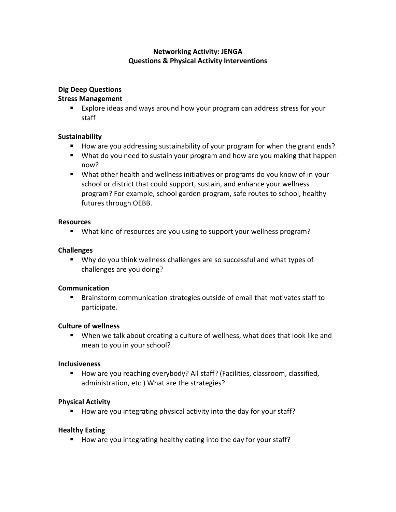# **Networking Activity: JENGA Questions & Physical Activity Interventions**

## **Dig Deep Questions**

### **Stress Management**

■ Explore ideas and ways around how your program can address stress for your staff

## **Sustainability**

- How are you addressing sustainability of your program for when the grant ends?
- What do you need to sustain your program and how are you making that happen now?
- What other health and wellness initiatives or programs do you know of in your school or district that could support, sustain, and enhance your wellness program? For example, school garden program, safe routes to school, healthy futures through OEBB.

#### **Resources**

■ What kind of resources are you using to support your wellness program?

#### **Challenges**

■ Why do you think wellness challenges are so successful and what types of challenges are you doing?

#### **Communication**

■ Brainstorm communication strategies outside of email that motivates staff to participate.

#### **Culture of wellness**

■ When we talk about creating a culture of wellness, what does that look like and mean to you in your school?

#### **Inclusiveness**

■ How are you reaching everybody? All staff? (Facilities, classroom, classified, administration, etc.) What are the strategies?

## **Physical Activity**

■ How are you integrating physical activity into the day for your staff?

## **Healthy Eating**

■ How are you integrating healthy eating into the day for your staff?